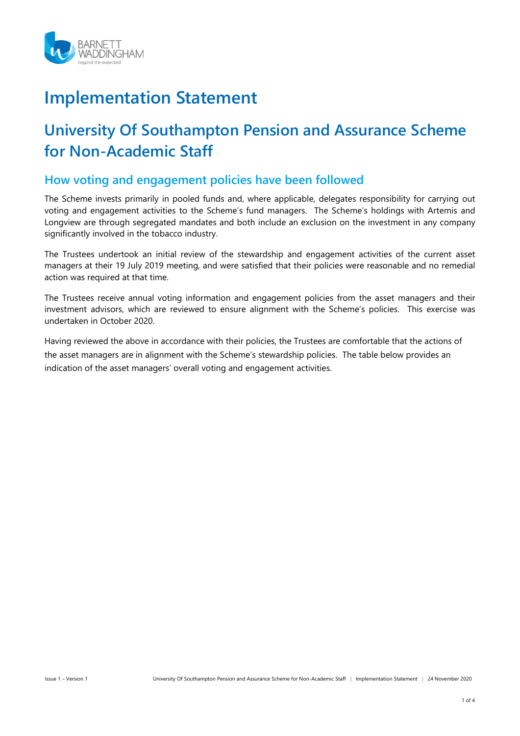

# **Implementation Statement**

## **University Of Southampton Pension and Assurance Scheme for Non-Academic Staff**

#### **How voting and engagement policies have been followed**

The Scheme invests primarily in pooled funds and, where applicable, delegates responsibility for carrying out voting and engagement activities to the Scheme's fund managers. The Scheme's holdings with Artemis and Longview are through segregated mandates and both include an exclusion on the investment in any company significantly involved in the tobacco industry.

The Trustees undertook an initial review of the stewardship and engagement activities of the current asset managers at their 19 July 2019 meeting, and were satisfied that their policies were reasonable and no remedial action was required at that time.

The Trustees receive annual voting information and engagement policies from the asset managers and their investment advisors, which are reviewed to ensure alignment with the Scheme's policies. This exercise was undertaken in October 2020.

Having reviewed the above in accordance with their policies, the Trustees are comfortable that the actions of the asset managers are in alignment with the Scheme's stewardship policies. The table below provides an indication of the asset managers' overall voting and engagement activities.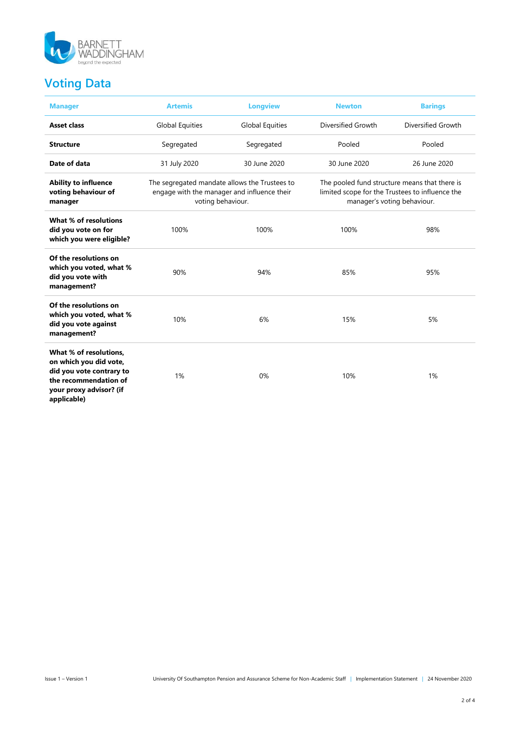

## **Voting Data**

| <b>Manager</b>                                                                                                                                  | <b>Artemis</b>                                                     | <b>Longview</b>                             | <b>Newton</b>                                                                                                                   | <b>Barings</b>            |  |  |
|-------------------------------------------------------------------------------------------------------------------------------------------------|--------------------------------------------------------------------|---------------------------------------------|---------------------------------------------------------------------------------------------------------------------------------|---------------------------|--|--|
| <b>Asset class</b>                                                                                                                              | <b>Global Equities</b>                                             | <b>Global Equities</b>                      | Diversified Growth                                                                                                              | <b>Diversified Growth</b> |  |  |
| <b>Structure</b>                                                                                                                                | Segregated                                                         | Segregated                                  | Pooled                                                                                                                          | Pooled                    |  |  |
| Date of data                                                                                                                                    | 31 July 2020                                                       | 30 June 2020<br>30 June 2020                |                                                                                                                                 | 26 June 2020              |  |  |
| <b>Ability to influence</b><br>voting behaviour of<br>manager                                                                                   | The segregated mandate allows the Trustees to<br>voting behaviour. | engage with the manager and influence their | The pooled fund structure means that there is<br>limited scope for the Trustees to influence the<br>manager's voting behaviour. |                           |  |  |
| What % of resolutions<br>did you vote on for<br>which you were eligible?                                                                        | 100%                                                               | 100%                                        | 100%                                                                                                                            | 98%                       |  |  |
| Of the resolutions on<br>which you voted, what %<br>did you vote with<br>management?                                                            | 90%                                                                | 94%                                         | 85%                                                                                                                             | 95%                       |  |  |
| Of the resolutions on<br>which you voted, what %<br>did you vote against<br>management?                                                         | 10%                                                                | 6%                                          | 15%                                                                                                                             | 5%                        |  |  |
| What % of resolutions,<br>on which you did vote,<br>did you vote contrary to<br>the recommendation of<br>your proxy advisor? (if<br>applicable) | 1%                                                                 | 0%                                          | 10%                                                                                                                             | 1%                        |  |  |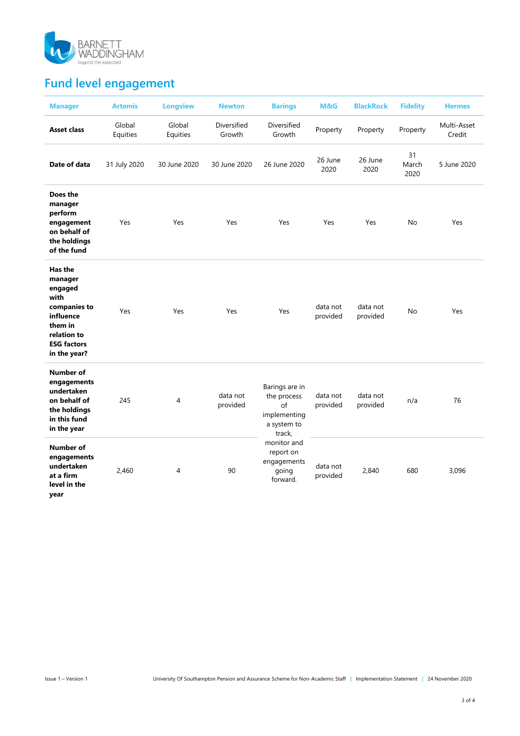

## **Fund level engagement**

| <b>Manager</b>                                                                                                                     | <b>Artemis</b>     | <b>Longview</b>    | <b>Newton</b>         | <b>Barings</b>                                                               | M&G                  | <b>BlackRock</b>     | <b>Fidelity</b>     | <b>Hermes</b>         |
|------------------------------------------------------------------------------------------------------------------------------------|--------------------|--------------------|-----------------------|------------------------------------------------------------------------------|----------------------|----------------------|---------------------|-----------------------|
| <b>Asset class</b>                                                                                                                 | Global<br>Equities | Global<br>Equities | Diversified<br>Growth | Diversified<br>Growth                                                        | Property             | Property             | Property            | Multi-Asset<br>Credit |
| Date of data                                                                                                                       | 31 July 2020       | 30 June 2020       | 30 June 2020          | 26 June 2020                                                                 | 26 June<br>2020      | 26 June<br>2020      | 31<br>March<br>2020 | 5 June 2020           |
| Does the<br>manager<br>perform<br>engagement<br>on behalf of<br>the holdings<br>of the fund                                        | Yes                | Yes                | Yes                   | Yes                                                                          | Yes                  | Yes                  | No                  | Yes                   |
| Has the<br>manager<br>engaged<br>with<br>companies to<br>influence<br>them in<br>relation to<br><b>ESG factors</b><br>in the year? | Yes                | Yes                | Yes                   | Yes                                                                          | data not<br>provided | data not<br>provided | No                  | Yes                   |
| Number of<br>engagements<br>undertaken<br>on behalf of<br>the holdings<br>in this fund<br>in the year                              | 245                | 4                  | data not<br>provided  | Barings are in<br>the process<br>of<br>implementing<br>a system to<br>track. | data not<br>provided | data not<br>provided | n/a                 | 76                    |
| Number of<br>engagements<br>undertaken<br>at a firm<br>level in the<br>vear                                                        | 2,460              | 4                  | 90                    | monitor and<br>report on<br>engagements<br>going<br>forward.                 | data not<br>provided | 2,840                | 680                 | 3,096                 |

**year**